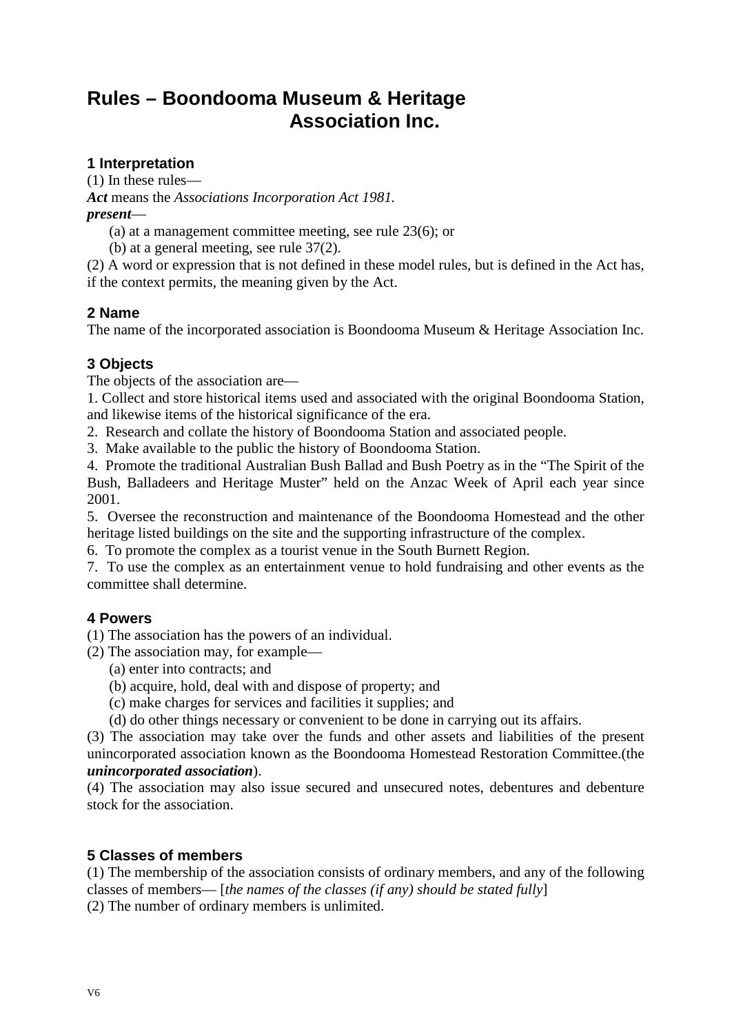# **Rules – Boondooma Museum & Heritage Association Inc.**

# **1 Interpretation**

(1) In these rules—

*Act* means the *Associations Incorporation Act 1981.*

*present*—

(a) at a management committee meeting, see rule 23(6); or

(b) at a general meeting, see rule 37(2).

(2) A word or expression that is not defined in these model rules, but is defined in the Act has, if the context permits, the meaning given by the Act.

# **2 Name**

The name of the incorporated association is Boondooma Museum & Heritage Association Inc.

# **3 Objects**

The objects of the association are—

1. Collect and store historical items used and associated with the original Boondooma Station, and likewise items of the historical significance of the era.

2. Research and collate the history of Boondooma Station and associated people.

3. Make available to the public the history of Boondooma Station.

4. Promote the traditional Australian Bush Ballad and Bush Poetry as in the "The Spirit of the Bush, Balladeers and Heritage Muster" held on the Anzac Week of April each year since 2001.

5. Oversee the reconstruction and maintenance of the Boondooma Homestead and the other heritage listed buildings on the site and the supporting infrastructure of the complex.

6. To promote the complex as a tourist venue in the South Burnett Region.

7. To use the complex as an entertainment venue to hold fundraising and other events as the committee shall determine.

# **4 Powers**

(1) The association has the powers of an individual.

(2) The association may, for example—

- (a) enter into contracts; and
- (b) acquire, hold, deal with and dispose of property; and
- (c) make charges for services and facilities it supplies; and

(d) do other things necessary or convenient to be done in carrying out its affairs.

(3) The association may take over the funds and other assets and liabilities of the present unincorporated association known as the Boondooma Homestead Restoration Committee.(the *unincorporated association*).

(4) The association may also issue secured and unsecured notes, debentures and debenture stock for the association.

# **5 Classes of members**

(1) The membership of the association consists of ordinary members, and any of the following classes of members— [*the names of the classes (if any) should be stated fully*] (2) The number of ordinary members is unlimited.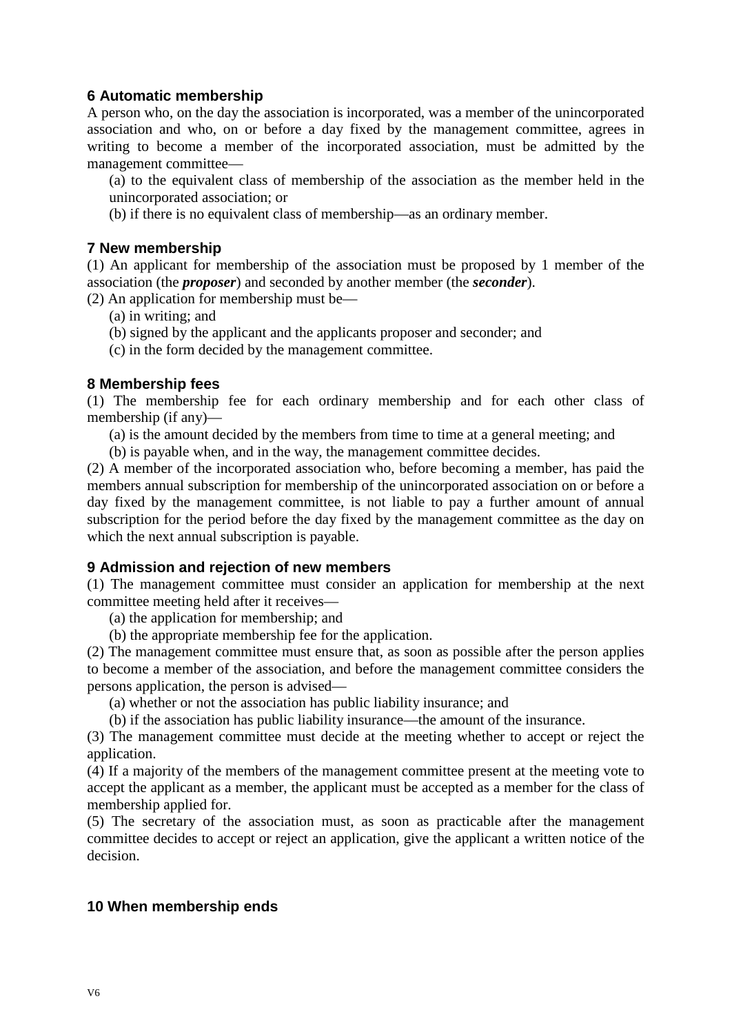# **6 Automatic membership**

A person who, on the day the association is incorporated, was a member of the unincorporated association and who, on or before a day fixed by the management committee, agrees in writing to become a member of the incorporated association, must be admitted by the management committee—

(a) to the equivalent class of membership of the association as the member held in the unincorporated association; or

(b) if there is no equivalent class of membership—as an ordinary member.

# **7 New membership**

(1) An applicant for membership of the association must be proposed by 1 member of the association (the *proposer*) and seconded by another member (the *seconder*).

(2) An application for membership must be—

- (a) in writing; and
- (b) signed by the applicant and the applicants proposer and seconder; and
- (c) in the form decided by the management committee.

# **8 Membership fees**

(1) The membership fee for each ordinary membership and for each other class of membership (if any)—

(a) is the amount decided by the members from time to time at a general meeting; and

(b) is payable when, and in the way, the management committee decides.

(2) A member of the incorporated association who, before becoming a member, has paid the members annual subscription for membership of the unincorporated association on or before a day fixed by the management committee, is not liable to pay a further amount of annual subscription for the period before the day fixed by the management committee as the day on which the next annual subscription is payable.

# **9 Admission and rejection of new members**

(1) The management committee must consider an application for membership at the next committee meeting held after it receives—

(a) the application for membership; and

(b) the appropriate membership fee for the application.

(2) The management committee must ensure that, as soon as possible after the person applies to become a member of the association, and before the management committee considers the persons application, the person is advised—

(a) whether or not the association has public liability insurance; and

(b) if the association has public liability insurance—the amount of the insurance.

(3) The management committee must decide at the meeting whether to accept or reject the application.

(4) If a majority of the members of the management committee present at the meeting vote to accept the applicant as a member, the applicant must be accepted as a member for the class of membership applied for.

(5) The secretary of the association must, as soon as practicable after the management committee decides to accept or reject an application, give the applicant a written notice of the decision.

# **10 When membership ends**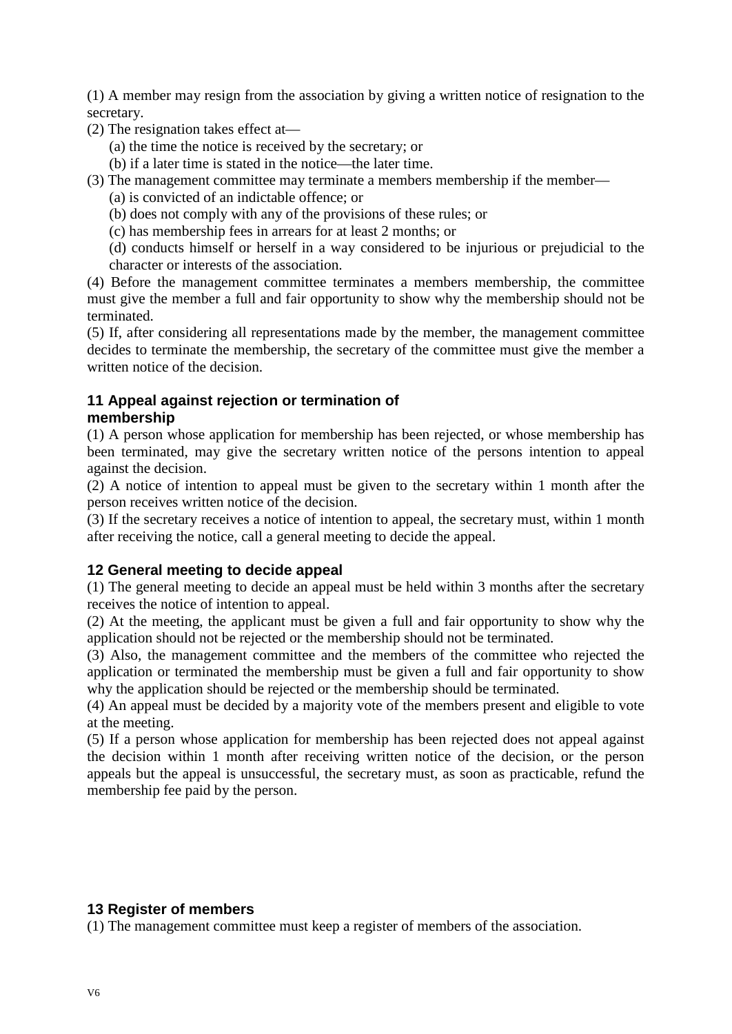(1) A member may resign from the association by giving a written notice of resignation to the secretary.

- (2) The resignation takes effect at—
	- (a) the time the notice is received by the secretary; or
	- (b) if a later time is stated in the notice—the later time.
- (3) The management committee may terminate a members membership if the member—
	- (a) is convicted of an indictable offence; or
	- (b) does not comply with any of the provisions of these rules; or
	- (c) has membership fees in arrears for at least 2 months; or
	- (d) conducts himself or herself in a way considered to be injurious or prejudicial to the character or interests of the association.

(4) Before the management committee terminates a members membership, the committee must give the member a full and fair opportunity to show why the membership should not be terminated.

(5) If, after considering all representations made by the member, the management committee decides to terminate the membership, the secretary of the committee must give the member a written notice of the decision.

#### **11 Appeal against rejection or termination of membership**

(1) A person whose application for membership has been rejected, or whose membership has been terminated, may give the secretary written notice of the persons intention to appeal against the decision.

(2) A notice of intention to appeal must be given to the secretary within 1 month after the person receives written notice of the decision.

(3) If the secretary receives a notice of intention to appeal, the secretary must, within 1 month after receiving the notice, call a general meeting to decide the appeal.

# **12 General meeting to decide appeal**

(1) The general meeting to decide an appeal must be held within 3 months after the secretary receives the notice of intention to appeal.

(2) At the meeting, the applicant must be given a full and fair opportunity to show why the application should not be rejected or the membership should not be terminated.

(3) Also, the management committee and the members of the committee who rejected the application or terminated the membership must be given a full and fair opportunity to show why the application should be rejected or the membership should be terminated.

(4) An appeal must be decided by a majority vote of the members present and eligible to vote at the meeting.

(5) If a person whose application for membership has been rejected does not appeal against the decision within 1 month after receiving written notice of the decision, or the person appeals but the appeal is unsuccessful, the secretary must, as soon as practicable, refund the membership fee paid by the person.

# **13 Register of members**

(1) The management committee must keep a register of members of the association.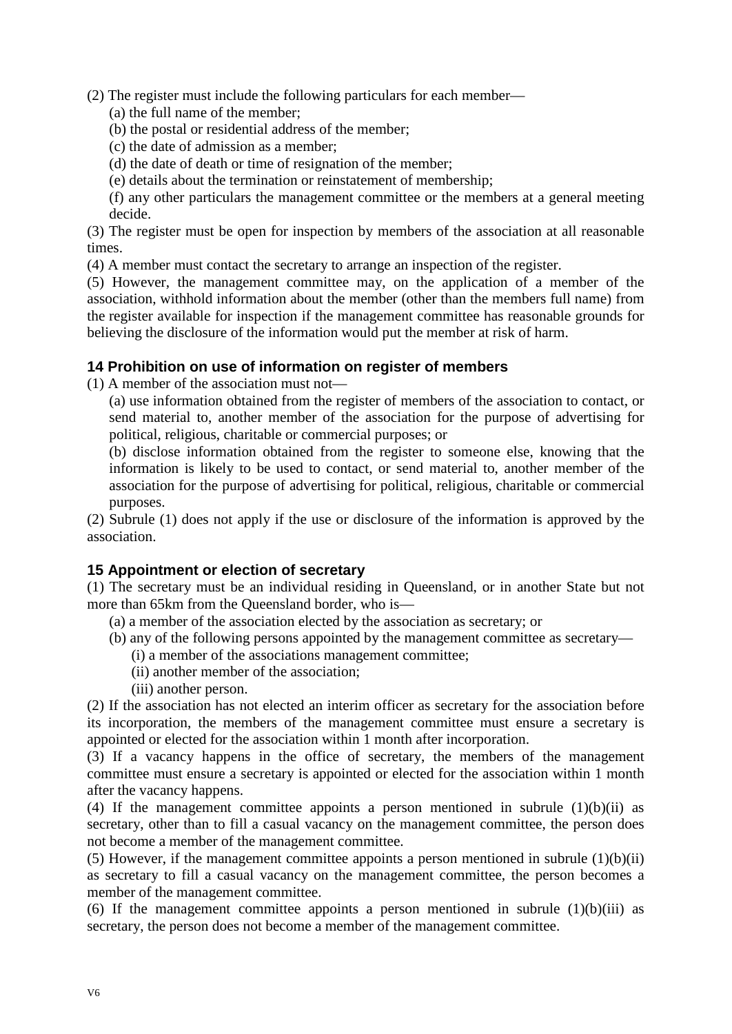(2) The register must include the following particulars for each member—

(a) the full name of the member;

(b) the postal or residential address of the member;

(c) the date of admission as a member;

(d) the date of death or time of resignation of the member;

(e) details about the termination or reinstatement of membership;

(f) any other particulars the management committee or the members at a general meeting decide.

(3) The register must be open for inspection by members of the association at all reasonable times.

(4) A member must contact the secretary to arrange an inspection of the register.

(5) However, the management committee may, on the application of a member of the association, withhold information about the member (other than the members full name) from the register available for inspection if the management committee has reasonable grounds for believing the disclosure of the information would put the member at risk of harm.

### **14 Prohibition on use of information on register of members**

(1) A member of the association must not—

(a) use information obtained from the register of members of the association to contact, or send material to, another member of the association for the purpose of advertising for political, religious, charitable or commercial purposes; or

(b) disclose information obtained from the register to someone else, knowing that the information is likely to be used to contact, or send material to, another member of the association for the purpose of advertising for political, religious, charitable or commercial purposes.

(2) Subrule (1) does not apply if the use or disclosure of the information is approved by the association.

# **15 Appointment or election of secretary**

(1) The secretary must be an individual residing in Queensland, or in another State but not more than 65km from the Queensland border, who is—

(a) a member of the association elected by the association as secretary; or

(b) any of the following persons appointed by the management committee as secretary—

(i) a member of the associations management committee;

(ii) another member of the association;

(iii) another person.

(2) If the association has not elected an interim officer as secretary for the association before its incorporation, the members of the management committee must ensure a secretary is appointed or elected for the association within 1 month after incorporation.

(3) If a vacancy happens in the office of secretary, the members of the management committee must ensure a secretary is appointed or elected for the association within 1 month after the vacancy happens.

(4) If the management committee appoints a person mentioned in subrule  $(1)(b)(ii)$  as secretary, other than to fill a casual vacancy on the management committee, the person does not become a member of the management committee.

(5) However, if the management committee appoints a person mentioned in subrule  $(1)(b)(ii)$ as secretary to fill a casual vacancy on the management committee, the person becomes a member of the management committee.

(6) If the management committee appoints a person mentioned in subrule  $(1)(b)(iii)$  as secretary, the person does not become a member of the management committee.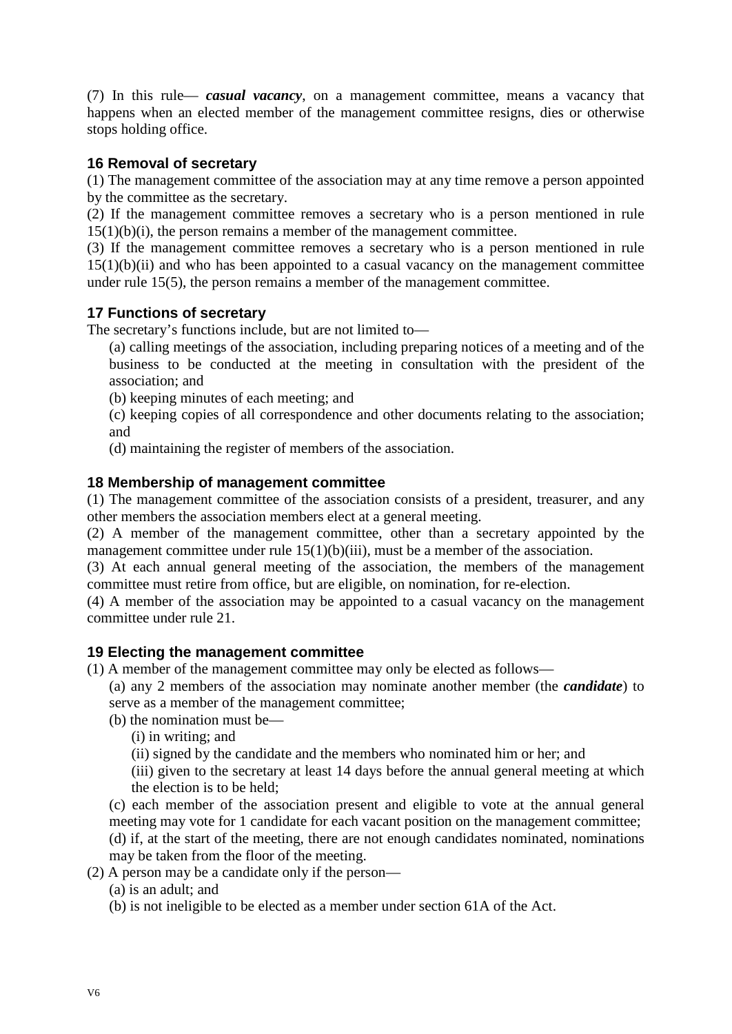(7) In this rule— *casual vacancy*, on a management committee, means a vacancy that happens when an elected member of the management committee resigns, dies or otherwise stops holding office.

# **16 Removal of secretary**

(1) The management committee of the association may at any time remove a person appointed by the committee as the secretary.

(2) If the management committee removes a secretary who is a person mentioned in rule  $15(1)(b)(i)$ , the person remains a member of the management committee.

(3) If the management committee removes a secretary who is a person mentioned in rule  $15(1)(b)(ii)$  and who has been appointed to a casual vacancy on the management committee under rule 15(5), the person remains a member of the management committee.

# **17 Functions of secretary**

The secretary's functions include, but are not limited to—

(a) calling meetings of the association, including preparing notices of a meeting and of the business to be conducted at the meeting in consultation with the president of the association; and

(b) keeping minutes of each meeting; and

- (c) keeping copies of all correspondence and other documents relating to the association; and
- (d) maintaining the register of members of the association.

# **18 Membership of management committee**

(1) The management committee of the association consists of a president, treasurer, and any other members the association members elect at a general meeting.

(2) A member of the management committee, other than a secretary appointed by the management committee under rule  $15(1)(b)(iii)$ , must be a member of the association.

(3) At each annual general meeting of the association, the members of the management committee must retire from office, but are eligible, on nomination, for re-election.

(4) A member of the association may be appointed to a casual vacancy on the management committee under rule 21.

# **19 Electing the management committee**

(1) A member of the management committee may only be elected as follows—

(a) any 2 members of the association may nominate another member (the *candidate*) to serve as a member of the management committee;

- (b) the nomination must be—
	- (i) in writing; and

(ii) signed by the candidate and the members who nominated him or her; and

(iii) given to the secretary at least 14 days before the annual general meeting at which the election is to be held;

(c) each member of the association present and eligible to vote at the annual general meeting may vote for 1 candidate for each vacant position on the management committee;

(d) if, at the start of the meeting, there are not enough candidates nominated, nominations may be taken from the floor of the meeting.

(2) A person may be a candidate only if the person—

(a) is an adult; and

(b) is not ineligible to be elected as a member under section 61A of the Act.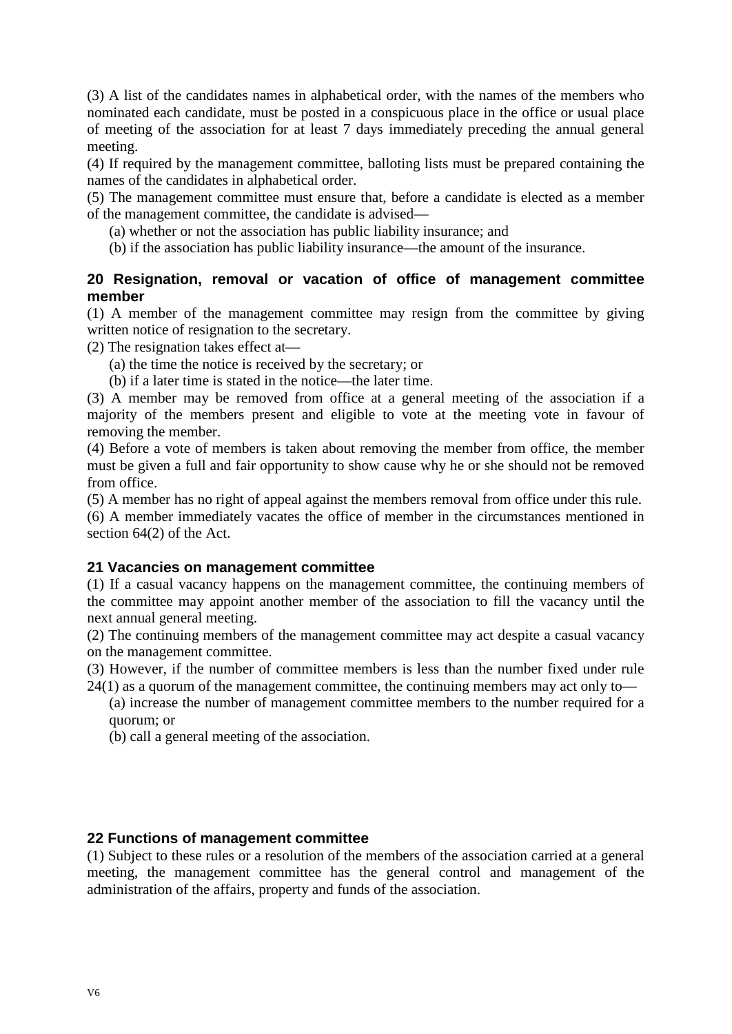(3) A list of the candidates names in alphabetical order, with the names of the members who nominated each candidate, must be posted in a conspicuous place in the office or usual place of meeting of the association for at least 7 days immediately preceding the annual general meeting.

(4) If required by the management committee, balloting lists must be prepared containing the names of the candidates in alphabetical order.

(5) The management committee must ensure that, before a candidate is elected as a member of the management committee, the candidate is advised—

- (a) whether or not the association has public liability insurance; and
- (b) if the association has public liability insurance—the amount of the insurance.

### **20 Resignation, removal or vacation of office of management committee member**

(1) A member of the management committee may resign from the committee by giving written notice of resignation to the secretary.

(2) The resignation takes effect at—

- (a) the time the notice is received by the secretary; or
- (b) if a later time is stated in the notice—the later time.

(3) A member may be removed from office at a general meeting of the association if a majority of the members present and eligible to vote at the meeting vote in favour of removing the member.

(4) Before a vote of members is taken about removing the member from office, the member must be given a full and fair opportunity to show cause why he or she should not be removed from office.

(5) A member has no right of appeal against the members removal from office under this rule.

(6) A member immediately vacates the office of member in the circumstances mentioned in section 64(2) of the Act.

# **21 Vacancies on management committee**

(1) If a casual vacancy happens on the management committee, the continuing members of the committee may appoint another member of the association to fill the vacancy until the next annual general meeting.

(2) The continuing members of the management committee may act despite a casual vacancy on the management committee.

(3) However, if the number of committee members is less than the number fixed under rule

24(1) as a quorum of the management committee, the continuing members may act only to— (a) increase the number of management committee members to the number required for a quorum; or

(b) call a general meeting of the association.

# **22 Functions of management committee**

(1) Subject to these rules or a resolution of the members of the association carried at a general meeting, the management committee has the general control and management of the administration of the affairs, property and funds of the association.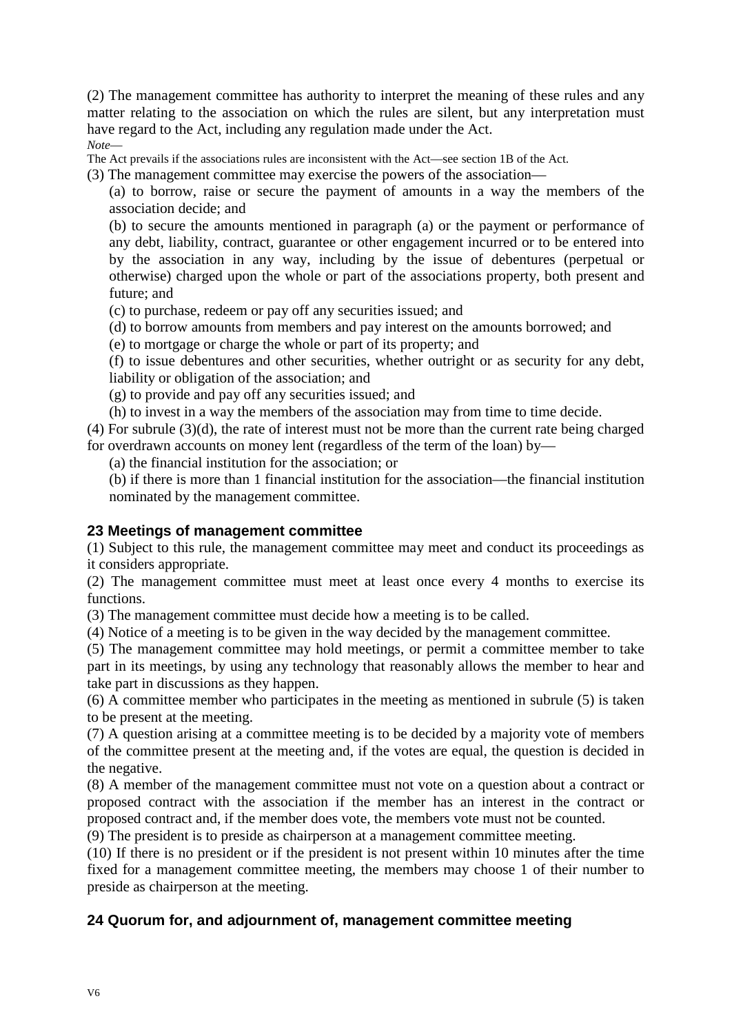(2) The management committee has authority to interpret the meaning of these rules and any matter relating to the association on which the rules are silent, but any interpretation must have regard to the Act, including any regulation made under the Act.

*Note*—

The Act prevails if the associations rules are inconsistent with the Act—see section 1B of the Act.

(3) The management committee may exercise the powers of the association—

(a) to borrow, raise or secure the payment of amounts in a way the members of the association decide; and

(b) to secure the amounts mentioned in paragraph (a) or the payment or performance of any debt, liability, contract, guarantee or other engagement incurred or to be entered into by the association in any way, including by the issue of debentures (perpetual or otherwise) charged upon the whole or part of the associations property, both present and future; and

(c) to purchase, redeem or pay off any securities issued; and

(d) to borrow amounts from members and pay interest on the amounts borrowed; and

(e) to mortgage or charge the whole or part of its property; and

(f) to issue debentures and other securities, whether outright or as security for any debt, liability or obligation of the association; and

(g) to provide and pay off any securities issued; and

(h) to invest in a way the members of the association may from time to time decide.

(4) For subrule (3)(d), the rate of interest must not be more than the current rate being charged for overdrawn accounts on money lent (regardless of the term of the loan) by—

(a) the financial institution for the association; or

(b) if there is more than 1 financial institution for the association—the financial institution nominated by the management committee.

# **23 Meetings of management committee**

(1) Subject to this rule, the management committee may meet and conduct its proceedings as it considers appropriate.

(2) The management committee must meet at least once every 4 months to exercise its functions.

(3) The management committee must decide how a meeting is to be called.

(4) Notice of a meeting is to be given in the way decided by the management committee.

(5) The management committee may hold meetings, or permit a committee member to take part in its meetings, by using any technology that reasonably allows the member to hear and take part in discussions as they happen.

(6) A committee member who participates in the meeting as mentioned in subrule (5) is taken to be present at the meeting.

(7) A question arising at a committee meeting is to be decided by a majority vote of members of the committee present at the meeting and, if the votes are equal, the question is decided in the negative.

(8) A member of the management committee must not vote on a question about a contract or proposed contract with the association if the member has an interest in the contract or proposed contract and, if the member does vote, the members vote must not be counted.

(9) The president is to preside as chairperson at a management committee meeting.

(10) If there is no president or if the president is not present within 10 minutes after the time fixed for a management committee meeting, the members may choose 1 of their number to preside as chairperson at the meeting.

# **24 Quorum for, and adjournment of, management committee meeting**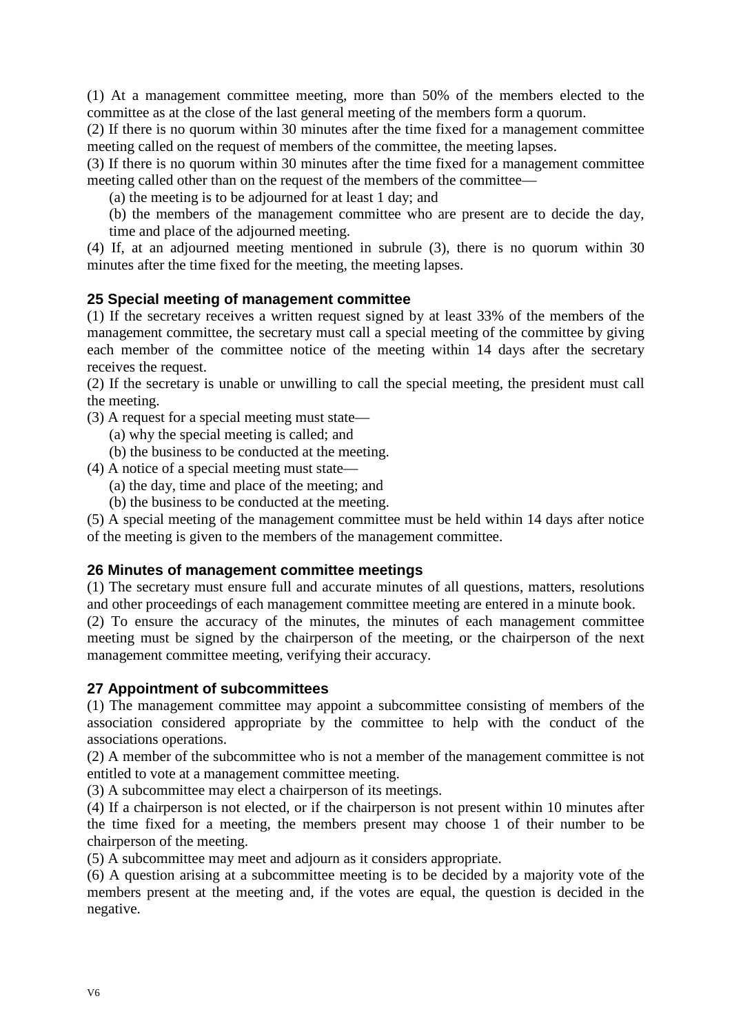(1) At a management committee meeting, more than 50% of the members elected to the committee as at the close of the last general meeting of the members form a quorum.

(2) If there is no quorum within 30 minutes after the time fixed for a management committee meeting called on the request of members of the committee, the meeting lapses.

(3) If there is no quorum within 30 minutes after the time fixed for a management committee meeting called other than on the request of the members of the committee—

(a) the meeting is to be adjourned for at least 1 day; and

(b) the members of the management committee who are present are to decide the day, time and place of the adjourned meeting.

(4) If, at an adjourned meeting mentioned in subrule (3), there is no quorum within 30 minutes after the time fixed for the meeting, the meeting lapses.

# **25 Special meeting of management committee**

(1) If the secretary receives a written request signed by at least 33% of the members of the management committee, the secretary must call a special meeting of the committee by giving each member of the committee notice of the meeting within 14 days after the secretary receives the request.

(2) If the secretary is unable or unwilling to call the special meeting, the president must call the meeting.

(3) A request for a special meeting must state—

(a) why the special meeting is called; and

(b) the business to be conducted at the meeting.

- (4) A notice of a special meeting must state—
	- (a) the day, time and place of the meeting; and
	- (b) the business to be conducted at the meeting.

(5) A special meeting of the management committee must be held within 14 days after notice of the meeting is given to the members of the management committee.

#### **26 Minutes of management committee meetings**

(1) The secretary must ensure full and accurate minutes of all questions, matters, resolutions and other proceedings of each management committee meeting are entered in a minute book.

(2) To ensure the accuracy of the minutes, the minutes of each management committee meeting must be signed by the chairperson of the meeting, or the chairperson of the next management committee meeting, verifying their accuracy.

#### **27 Appointment of subcommittees**

(1) The management committee may appoint a subcommittee consisting of members of the association considered appropriate by the committee to help with the conduct of the associations operations.

(2) A member of the subcommittee who is not a member of the management committee is not entitled to vote at a management committee meeting.

(3) A subcommittee may elect a chairperson of its meetings.

(4) If a chairperson is not elected, or if the chairperson is not present within 10 minutes after the time fixed for a meeting, the members present may choose 1 of their number to be chairperson of the meeting.

(5) A subcommittee may meet and adjourn as it considers appropriate.

(6) A question arising at a subcommittee meeting is to be decided by a majority vote of the members present at the meeting and, if the votes are equal, the question is decided in the negative.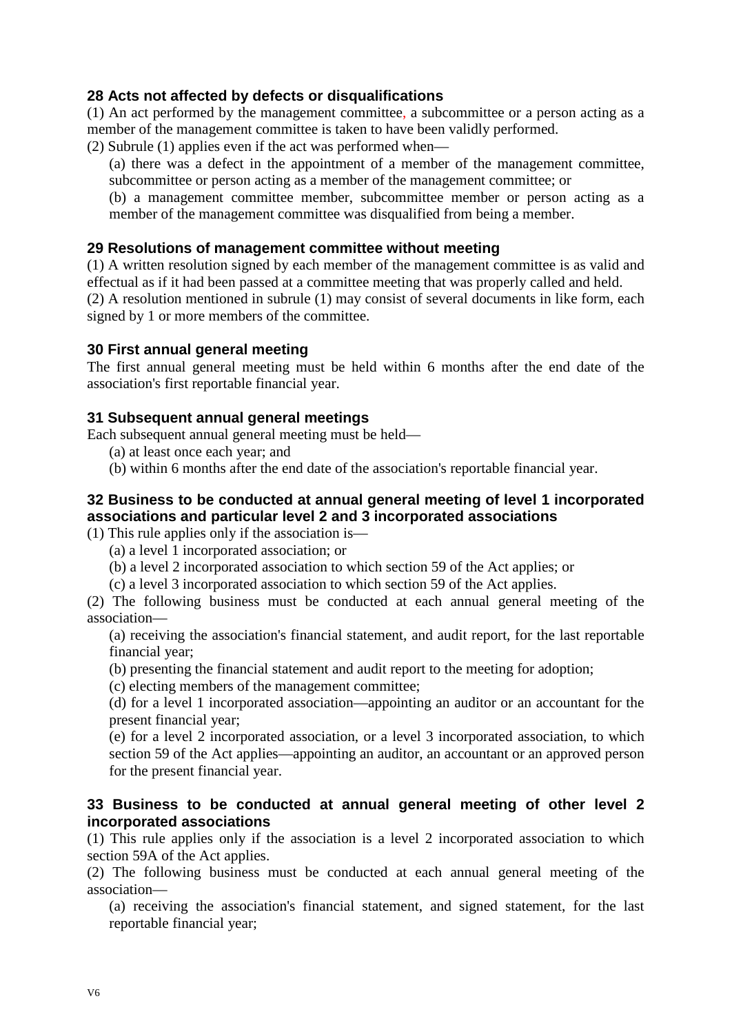# **28 Acts not affected by defects or disqualifications**

(1) An act performed by the management committee, a subcommittee or a person acting as a member of the management committee is taken to have been validly performed.

(2) Subrule (1) applies even if the act was performed when—

(a) there was a defect in the appointment of a member of the management committee, subcommittee or person acting as a member of the management committee; or

(b) a management committee member, subcommittee member or person acting as a member of the management committee was disqualified from being a member.

# **29 Resolutions of management committee without meeting**

(1) A written resolution signed by each member of the management committee is as valid and effectual as if it had been passed at a committee meeting that was properly called and held. (2) A resolution mentioned in subrule (1) may consist of several documents in like form, each

signed by 1 or more members of the committee.

### **30 First annual general meeting**

The first annual general meeting must be held within 6 months after the end date of the association's first reportable financial year.

### **31 Subsequent annual general meetings**

Each subsequent annual general meeting must be held—

- (a) at least once each year; and
- (b) within 6 months after the end date of the association's reportable financial year.

# **32 Business to be conducted at annual general meeting of level 1 incorporated associations and particular level 2 and 3 incorporated associations**

(1) This rule applies only if the association is—

- (a) a level 1 incorporated association; or
- (b) a level 2 incorporated association to which section 59 of the Act applies; or

(c) a level 3 incorporated association to which section 59 of the Act applies.

(2) The following business must be conducted at each annual general meeting of the association—

(a) receiving the association's financial statement, and audit report, for the last reportable financial year;

(b) presenting the financial statement and audit report to the meeting for adoption;

(c) electing members of the management committee;

(d) for a level 1 incorporated association—appointing an auditor or an accountant for the present financial year;

(e) for a level 2 incorporated association, or a level 3 incorporated association, to which section 59 of the Act applies—appointing an auditor, an accountant or an approved person for the present financial year.

### **33 Business to be conducted at annual general meeting of other level 2 incorporated associations**

(1) This rule applies only if the association is a level 2 incorporated association to which section 59A of the Act applies.

(2) The following business must be conducted at each annual general meeting of the association—

(a) receiving the association's financial statement, and signed statement, for the last reportable financial year;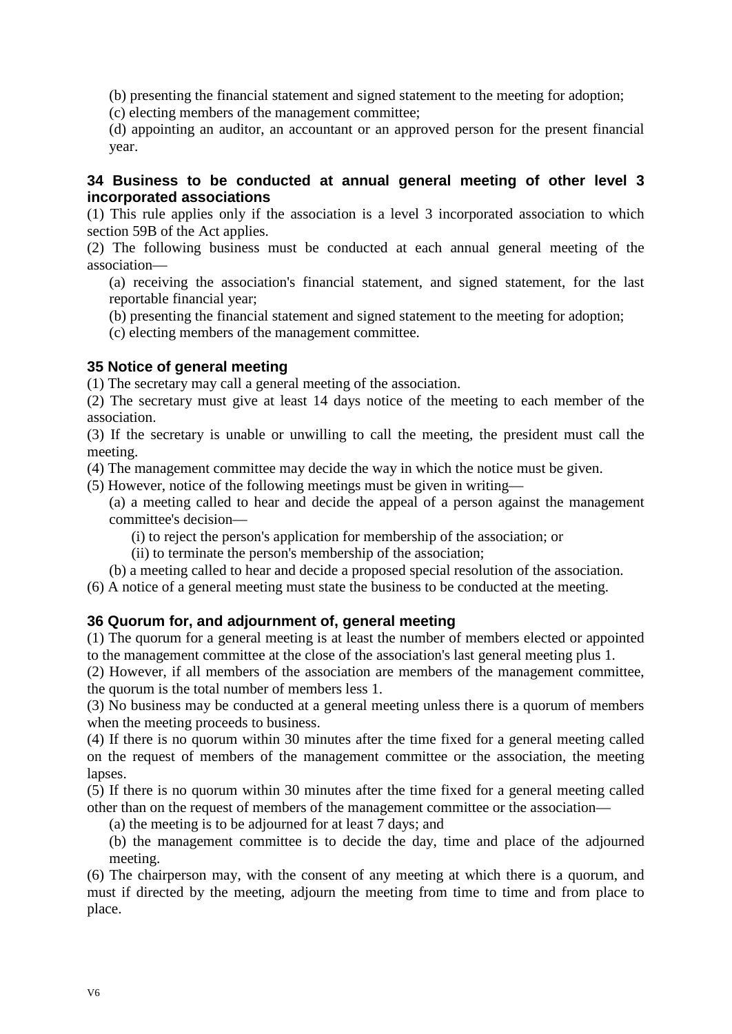(b) presenting the financial statement and signed statement to the meeting for adoption;

(c) electing members of the management committee;

(d) appointing an auditor, an accountant or an approved person for the present financial year.

# **34 Business to be conducted at annual general meeting of other level 3 incorporated associations**

(1) This rule applies only if the association is a level 3 incorporated association to which section 59B of the Act applies.

(2) The following business must be conducted at each annual general meeting of the association—

(a) receiving the association's financial statement, and signed statement, for the last reportable financial year;

(b) presenting the financial statement and signed statement to the meeting for adoption;

(c) electing members of the management committee.

# **35 Notice of general meeting**

(1) The secretary may call a general meeting of the association.

(2) The secretary must give at least 14 days notice of the meeting to each member of the association.

(3) If the secretary is unable or unwilling to call the meeting, the president must call the meeting.

(4) The management committee may decide the way in which the notice must be given.

(5) However, notice of the following meetings must be given in writing—

(a) a meeting called to hear and decide the appeal of a person against the management committee's decision—

(i) to reject the person's application for membership of the association; or

(ii) to terminate the person's membership of the association;

(b) a meeting called to hear and decide a proposed special resolution of the association.

(6) A notice of a general meeting must state the business to be conducted at the meeting.

# **36 Quorum for, and adjournment of, general meeting**

(1) The quorum for a general meeting is at least the number of members elected or appointed to the management committee at the close of the association's last general meeting plus 1.

(2) However, if all members of the association are members of the management committee, the quorum is the total number of members less 1.

(3) No business may be conducted at a general meeting unless there is a quorum of members when the meeting proceeds to business.

(4) If there is no quorum within 30 minutes after the time fixed for a general meeting called on the request of members of the management committee or the association, the meeting lapses.

(5) If there is no quorum within 30 minutes after the time fixed for a general meeting called other than on the request of members of the management committee or the association—

(a) the meeting is to be adjourned for at least 7 days; and

(b) the management committee is to decide the day, time and place of the adjourned meeting.

(6) The chairperson may, with the consent of any meeting at which there is a quorum, and must if directed by the meeting, adjourn the meeting from time to time and from place to place.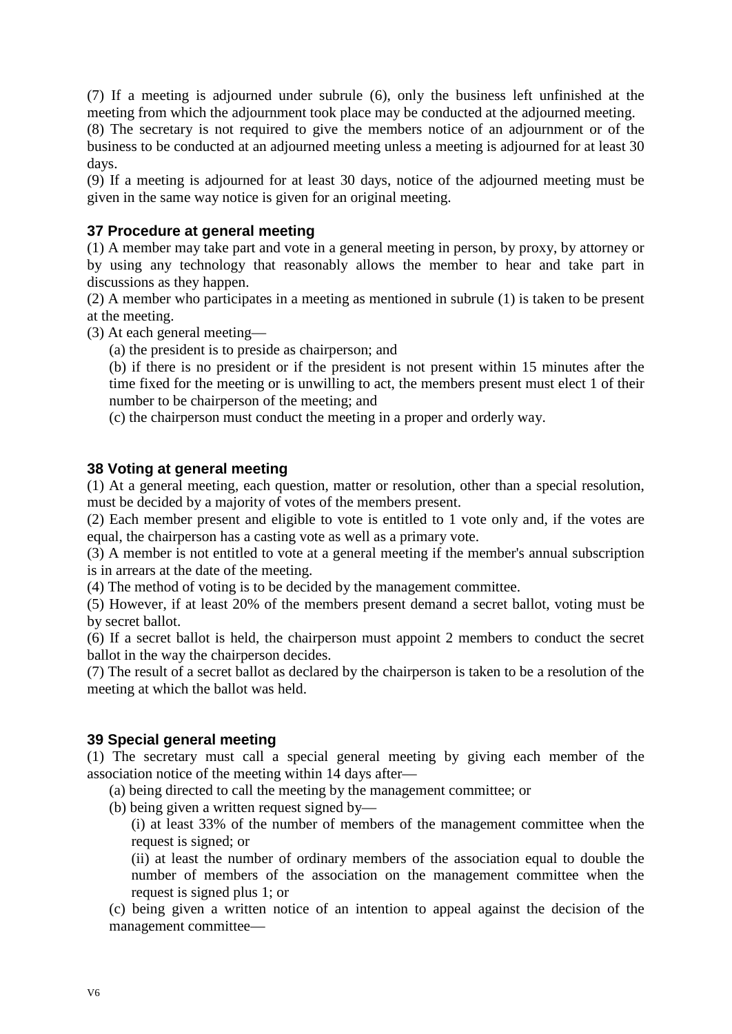(7) If a meeting is adjourned under subrule (6), only the business left unfinished at the meeting from which the adjournment took place may be conducted at the adjourned meeting.

(8) The secretary is not required to give the members notice of an adjournment or of the business to be conducted at an adjourned meeting unless a meeting is adjourned for at least 30 days.

(9) If a meeting is adjourned for at least 30 days, notice of the adjourned meeting must be given in the same way notice is given for an original meeting.

# **37 Procedure at general meeting**

(1) A member may take part and vote in a general meeting in person, by proxy, by attorney or by using any technology that reasonably allows the member to hear and take part in discussions as they happen.

(2) A member who participates in a meeting as mentioned in subrule (1) is taken to be present at the meeting.

(3) At each general meeting—

(a) the president is to preside as chairperson; and

(b) if there is no president or if the president is not present within 15 minutes after the time fixed for the meeting or is unwilling to act, the members present must elect 1 of their number to be chairperson of the meeting; and

(c) the chairperson must conduct the meeting in a proper and orderly way.

# **38 Voting at general meeting**

(1) At a general meeting, each question, matter or resolution, other than a special resolution, must be decided by a majority of votes of the members present.

(2) Each member present and eligible to vote is entitled to 1 vote only and, if the votes are equal, the chairperson has a casting vote as well as a primary vote.

(3) A member is not entitled to vote at a general meeting if the member's annual subscription is in arrears at the date of the meeting.

(4) The method of voting is to be decided by the management committee.

(5) However, if at least 20% of the members present demand a secret ballot, voting must be by secret ballot.

(6) If a secret ballot is held, the chairperson must appoint 2 members to conduct the secret ballot in the way the chairperson decides.

(7) The result of a secret ballot as declared by the chairperson is taken to be a resolution of the meeting at which the ballot was held.

# **39 Special general meeting**

(1) The secretary must call a special general meeting by giving each member of the association notice of the meeting within 14 days after—

(a) being directed to call the meeting by the management committee; or

(b) being given a written request signed by—

(i) at least 33% of the number of members of the management committee when the request is signed; or

(ii) at least the number of ordinary members of the association equal to double the number of members of the association on the management committee when the request is signed plus 1; or

(c) being given a written notice of an intention to appeal against the decision of the management committee—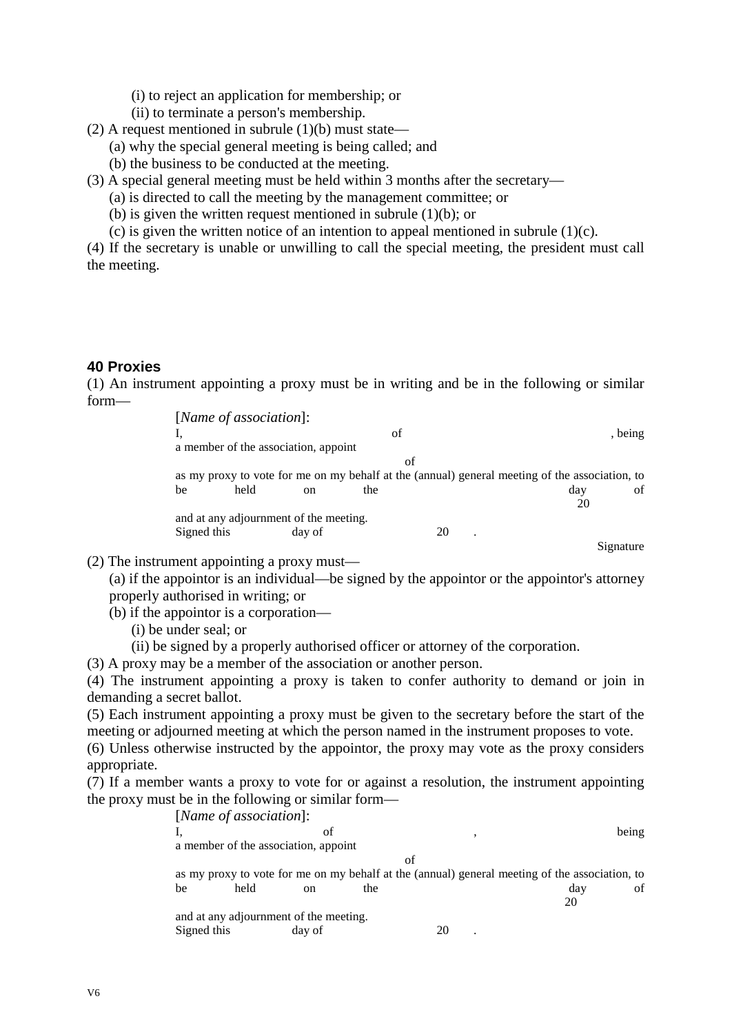- (i) to reject an application for membership; or
- (ii) to terminate a person's membership.
- (2) A request mentioned in subrule  $(1)(b)$  must state—
	- (a) why the special general meeting is being called; and
	- (b) the business to be conducted at the meeting.
- (3) A special general meeting must be held within 3 months after the secretary—
	- (a) is directed to call the meeting by the management committee; or
	- (b) is given the written request mentioned in subrule (1)(b); or
	- (c) is given the written notice of an intention to appeal mentioned in subrule  $(1)(c)$ .

(4) If the secretary is unable or unwilling to call the special meeting, the president must call the meeting.

#### **40 Proxies**

(1) An instrument appointing a proxy must be in writing and be in the following or similar form—

> [*Name of association*]: I, and the set of the set of  $\mathbf{I}$ , being a member of the association, appoint of as my proxy to vote for me on my behalf at the (annual) general meeting of the association, to be the day of be held on the day of 20 and at any adjournment of the meeting. Signed this day of 20 . Signature

(2) The instrument appointing a proxy must—

(a) if the appointor is an individual—be signed by the appointor or the appointor's attorney properly authorised in writing; or

- (b) if the appointor is a corporation—
	- (i) be under seal; or

(ii) be signed by a properly authorised officer or attorney of the corporation.

(3) A proxy may be a member of the association or another person.

(4) The instrument appointing a proxy is taken to confer authority to demand or join in demanding a secret ballot.

(5) Each instrument appointing a proxy must be given to the secretary before the start of the meeting or adjourned meeting at which the person named in the instrument proposes to vote.

(6) Unless otherwise instructed by the appointor, the proxy may vote as the proxy considers appropriate.

(7) If a member wants a proxy to vote for or against a resolution, the instrument appointing the proxy must be in the following or similar form—

| [Name of association]:                                                                         |               |     |    |    |           |
|------------------------------------------------------------------------------------------------|---------------|-----|----|----|-----------|
|                                                                                                | οf            |     | ۰  |    | being     |
| a member of the association, appoint                                                           |               |     |    |    |           |
| of                                                                                             |               |     |    |    |           |
| as my proxy to vote for me on my behalf at the (annual) general meeting of the association, to |               |     |    |    |           |
| be<br>held                                                                                     | <sub>on</sub> | the |    |    | dav<br>ΟÌ |
|                                                                                                |               |     |    | 20 |           |
| and at any adjournment of the meeting.                                                         |               |     |    |    |           |
| Signed this                                                                                    | day of        |     | 20 |    |           |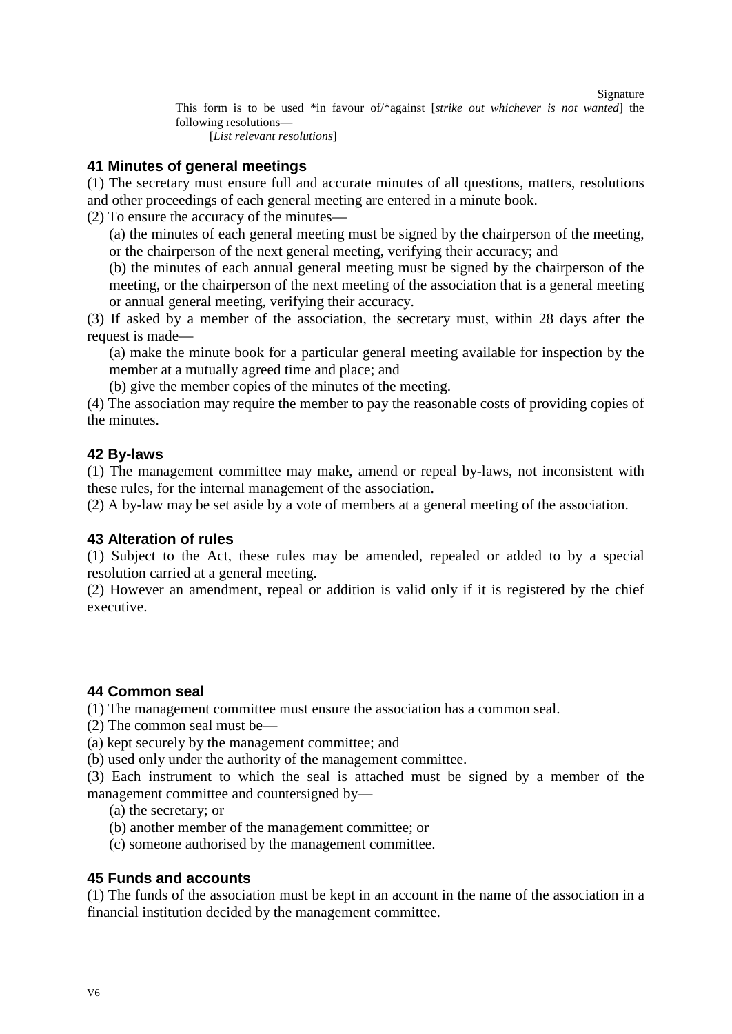Signature

This form is to be used \*in favour of/\*against [*strike out whichever is not wanted*] the following resolutions—

[*List relevant resolutions*]

### **41 Minutes of general meetings**

(1) The secretary must ensure full and accurate minutes of all questions, matters, resolutions and other proceedings of each general meeting are entered in a minute book.

(2) To ensure the accuracy of the minutes—

(a) the minutes of each general meeting must be signed by the chairperson of the meeting, or the chairperson of the next general meeting, verifying their accuracy; and

(b) the minutes of each annual general meeting must be signed by the chairperson of the meeting, or the chairperson of the next meeting of the association that is a general meeting or annual general meeting, verifying their accuracy.

(3) If asked by a member of the association, the secretary must, within 28 days after the request is made—

(a) make the minute book for a particular general meeting available for inspection by the member at a mutually agreed time and place; and

(b) give the member copies of the minutes of the meeting.

(4) The association may require the member to pay the reasonable costs of providing copies of the minutes.

### **42 By-laws**

(1) The management committee may make, amend or repeal by-laws, not inconsistent with these rules, for the internal management of the association.

(2) A by-law may be set aside by a vote of members at a general meeting of the association.

#### **43 Alteration of rules**

(1) Subject to the Act, these rules may be amended, repealed or added to by a special resolution carried at a general meeting.

(2) However an amendment, repeal or addition is valid only if it is registered by the chief executive.

#### **44 Common seal**

(1) The management committee must ensure the association has a common seal.

(2) The common seal must be—

(a) kept securely by the management committee; and

(b) used only under the authority of the management committee.

(3) Each instrument to which the seal is attached must be signed by a member of the management committee and countersigned by—

(a) the secretary; or

(b) another member of the management committee; or

(c) someone authorised by the management committee.

#### **45 Funds and accounts**

(1) The funds of the association must be kept in an account in the name of the association in a financial institution decided by the management committee.